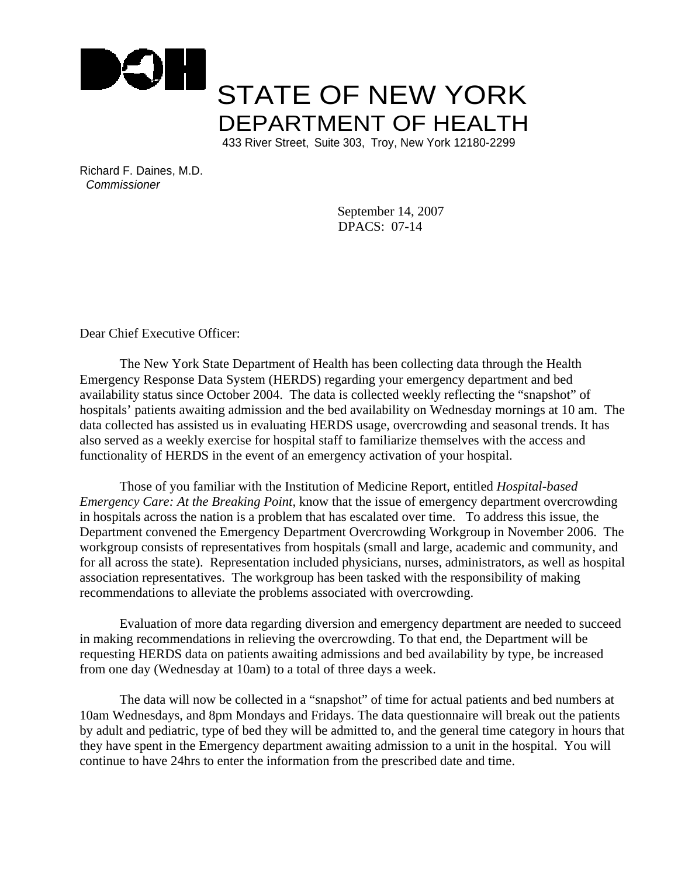

Richard F. Daines, M.D. *Commissioner*

> September 14, 2007 DPACS: 07-14

Dear Chief Executive Officer:

The New York State Department of Health has been collecting data through the Health Emergency Response Data System (HERDS) regarding your emergency department and bed availability status since October 2004. The data is collected weekly reflecting the "snapshot" of hospitals' patients awaiting admission and the bed availability on Wednesday mornings at 10 am. The data collected has assisted us in evaluating HERDS usage, overcrowding and seasonal trends. It has also served as a weekly exercise for hospital staff to familiarize themselves with the access and functionality of HERDS in the event of an emergency activation of your hospital.

Those of you familiar with the Institution of Medicine Report, entitled *Hospital-based Emergency Care: At the Breaking Point*, know that the issue of emergency department overcrowding in hospitals across the nation is a problem that has escalated over time. To address this issue, the Department convened the Emergency Department Overcrowding Workgroup in November 2006. The workgroup consists of representatives from hospitals (small and large, academic and community, and for all across the state). Representation included physicians, nurses, administrators, as well as hospital association representatives. The workgroup has been tasked with the responsibility of making recommendations to alleviate the problems associated with overcrowding.

Evaluation of more data regarding diversion and emergency department are needed to succeed in making recommendations in relieving the overcrowding. To that end, the Department will be requesting HERDS data on patients awaiting admissions and bed availability by type, be increased from one day (Wednesday at 10am) to a total of three days a week.

The data will now be collected in a "snapshot" of time for actual patients and bed numbers at 10am Wednesdays, and 8pm Mondays and Fridays. The data questionnaire will break out the patients by adult and pediatric, type of bed they will be admitted to, and the general time category in hours that they have spent in the Emergency department awaiting admission to a unit in the hospital. You will continue to have 24hrs to enter the information from the prescribed date and time.